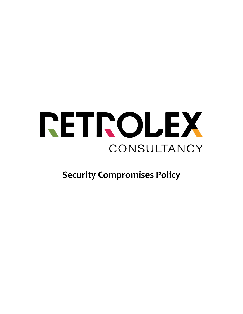

**Security Compromises Policy**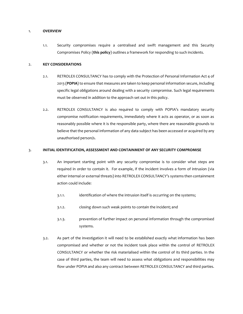#### 1. **OVERVIEW**

1.1. Security compromises require a centralised and swift management and this Security Compromises Policy (**this policy**) outlines a framework for responding to such incidents.

### 2. **KEY CONSIDERATIONS**

- 2.1. RETROLEX CONSULTANCY has to comply with the Protection of Personal Information Act 4 of 2013 (**POPIA**) to ensure that measures are taken to keep personal information secure, including specific legal obligations around dealing with a security compromise. Such legal requirements must be observed in addition to the approach set out in this policy.
- 2.2. RETROLEX CONSULTANCY is also required to comply with POPIA's mandatory security compromise notification requirements, immediately where it acts as operator, or as soon as reasonably possible where it is the responsible party, where there are reasonable grounds to believe that the personal information of any data subject has been accessed or acquired by any unauthorised person/s.

### 3. **INITIAL IDENTIFICATION, ASSESSMENT AND CONTAINMENT OF ANY SECURITY COMPROMISE**

- 3.1. An important starting point with any security compromise is to consider what steps are required in order to contain it. For example, if the incident involves a form of intrusion (via either internal or external threats) into RETROLEX CONSULTANCY's systems then containment action could include:
	- 3.1.1. identification of where the intrusion itself is occurring on the systems;
	- 3.1.2. closing down such weak points to contain the incident; and
	- 3.1.3. prevention of further impact on personal information through the compromised systems.
- 3.2. As part of the investigation it will need to be established exactly what information has been compromised and whether or not the incident took place within the control of RETROLEX CONSULTANCY or whether the risk materialised within the control of its third parties. In the case of third parties, the team will need to assess what obligations and responsibilities may flow under POPIA and also any contract between RETROLEX CONSULTANCY and third parties.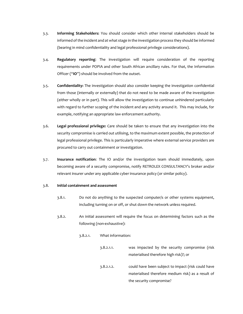- 3.3. **Informing Stakeholders:** You should consider which other internal stakeholders should be informed of the incident and at what stage in the investigation process they should be informed (bearing in mind confidentiality and legal professional privilege considerations).
- 3.4. **Regulatory reporting**: The investigation will require consideration of the reporting requirements under POPIA and other South African ancillary rules. For that, the Information Officer ("**IO**") should be involved from the outset.
- 3.5. **Confidentiality:** The investigation should also consider keeping the investigation confidential from those (internally or externally) that do not need to be made aware of the investigation (either wholly or in part). This will allow the investigation to continue unhindered particularly with regard to further scoping of the incident and any activity around it. This may include, for example, notifying an appropriate law enforcement authority.
- 3.6. **Legal professional privilege:** Care should be taken to ensure that any investigation into the security compromise is carried out utilising, to the maximum extent possible, the protection of legal professional privilege. This is particularly imperative where external service providers are procured to carry out containment or investigation.
- 3.7. **Insurance notification**: The IO and/or the investigation team should immediately, upon becoming aware of a security compromise, notify RETROLEX CONSULTANCY's broker and/or relevant insurer under any applicable cyber insurance policy (or similar policy).

### 3.8. **Initial containment and assessment**

- 3.8.1. Do not do anything to the suspected computer/s or other systems equipment, including turning on or off, or shut down the network unless required.
- 3.8.2. An initial assessment will require the focus on determining factors such as the following (non-exhaustive):
	- 3.8.2.1. What information:
		- 3.8.2.1.1. was impacted by the security compromise (risk materialised therefore high risk)?; or 3.8.2.1.2. could have been subject to impact (risk could have materialised therefore medium risk) as a result of the security compromise?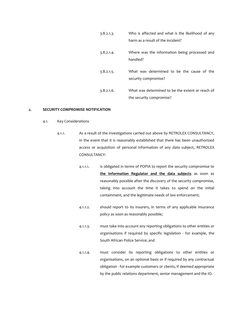| 3.8.2.1.3. | Who is affected and what is the likelihood of any                            |
|------------|------------------------------------------------------------------------------|
|            | harm as a result of the incident?                                            |
| 3.8.2.1.4. | Where was the information being processed and<br>handled?                    |
| 3.8.2.1.5. | What was determined to be the cause of the<br>security compromise?           |
| 3.8.2.1.6. | What was determined to be the extent or reach of<br>the security compromise? |

## 4. **SECURITY COMPROMISE NOTIFICATION**

- 4.1. Key Considerations
	- 4.1.1. As a result of the investigations carried out above by RETROLEX CONSULTANCY, in the event that it is reasonably established that there has been unauthorized access or acquisition of personal information of any data subject, RETROLEX CONSULTANCY:
		- 4.1.1.1. is obligated in terms of POPIA to report the security compromise to **the Information Regulator and the data subjects** as soon as reasonably possible after the discovery of the security compromise, taking into account the time it takes to spend on the initial containment, and the legitimate needs of law enforcement;
		- 4.1.1.2. should report to its insurers, in terms of any applicable insurance policy as soon as reasonably possible;
		- 4.1.1.3. must take into account any reporting obligations to other entities or organisations if required by specific legislation - for example, the South African Police Service; and
		- 4.1.1.4. must consider its reporting obligations to other entities or organisations, on an optional basis or if required by any contractual obligation - for example customers or clients, if deemed appropriate by the public relations department, senior management and the IO.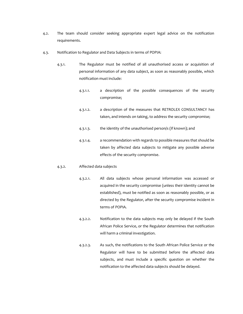- 4.2. The team should consider seeking appropriate expert legal advice on the notification requirements.
- 4.3. Notification to Regulator and Data Subjects in terms of POPIA:
	- 4.3.1. The Regulator must be notified of all unauthorised access or acquisition of personal information of any data subject, as soon as reasonably possible, which notification must include:
		- 4.3.1.1. a description of the possible consequences of the security compromise;
		- 4.3.1.2. a description of the measures that RETROLEX CONSULTANCY has taken, and intends on taking, to address the security compromise;
		- 4.3.1.3. the identity of the unauthorised person/s (if known); and
		- 4.3.1.4. a recommendation with regards to possible measures that should be taken by affected data subjects to mitigate any possible adverse effects of the security compromise.

#### 4.3.2. Affected data subjects

- 4.3.2.1. All data subjects whose personal information was accessed or acquired in the security compromise (unless their identity cannot be established), must be notified as soon as reasonably possible, or as directed by the Regulator, after the security compromise incident in terms of POPIA.
- 4.3.2.2. Notification to the data subjects may only be delayed if the South African Police Service, or the Regulator determines that notification will harm a criminal investigation.
- 4.3.2.3. As such, the notifications to the South African Police Service or the Regulator will have to be submitted before the affected data subjects, and must include a specific question on whether the notification to the affected data subjects should be delayed.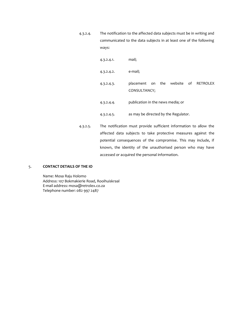4.3.2.4. The notification to the affected data subjects must be in writing and communicated to the data subjects in at least one of the following ways:

| 4.3.2.4.1  | mail;                                                |
|------------|------------------------------------------------------|
| 4.3.2.4.2. | e-mail;                                              |
| 4.3.2.4.3. | placement on the website of RETROLEX<br>CONSULTANCY; |
| 4.3.2.4.4. | publication in the news media; or                    |
| 4.3.2.4.5. | as may be directed by the Regulator.                 |

4.3.2.5. The notification must provide sufficient information to allow the affected data subjects to take protective measures against the potential consequences of the compromise. This may include, if known, the identity of the unauthorised person who may have accessed or acquired the personal information.

## 5. **CONTACT DETAILS OF THE IO**

Name: Mosa Raju Holomo Address: 107 Bokmakierie Road, Rooihuiskraal E-mail address: mosa@retrolex.co.za Telephone number: 082 997 2487